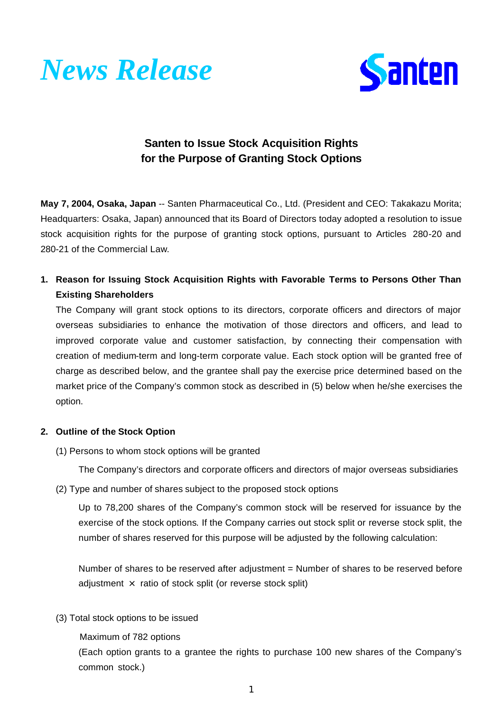



# **Santen to Issue Stock Acquisition Rights for the Purpose of Granting Stock Options**

**May 7, 2004, Osaka, Japan** -- Santen Pharmaceutical Co., Ltd. (President and CEO: Takakazu Morita; Headquarters: Osaka, Japan) announced that its Board of Directors today adopted a resolution to issue stock acquisition rights for the purpose of granting stock options, pursuant to Articles 280-20 and 280-21 of the Commercial Law.

**1. Reason for Issuing Stock Acquisition Rights with Favorable Terms to Persons Other Than Existing Shareholders**

The Company will grant stock options to its directors, corporate officers and directors of major overseas subsidiaries to enhance the motivation of those directors and officers, and lead to improved corporate value and customer satisfaction, by connecting their compensation with creation of medium-term and long-term corporate value. Each stock option will be granted free of charge as described below, and the grantee shall pay the exercise price determined based on the market price of the Company's common stock as described in (5) below when he/she exercises the option.

### **2. Outline of the Stock Option**

(1) Persons to whom stock options will be granted

The Company's directors and corporate officers and directors of major overseas subsidiaries

(2) Type and number of shares subject to the proposed stock options

Up to 78,200 shares of the Company's common stock will be reserved for issuance by the exercise of the stock options. If the Company carries out stock split or reverse stock split, the number of shares reserved for this purpose will be adjusted by the following calculation:

Number of shares to be reserved after adjustment = Number of shares to be reserved before adjustment  $\times$  ratio of stock split (or reverse stock split)

(3) Total stock options to be issued

Maximum of 782 options

(Each option grants to a grantee the rights to purchase 100 new shares of the Company's common stock.)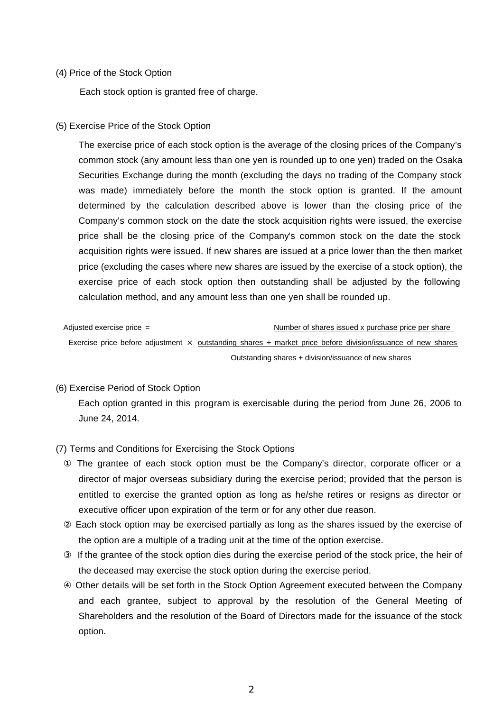#### (4) Price of the Stock Option

Each stock option is granted free of charge.

#### (5) Exercise Price of the Stock Option

The exercise price of each stock option is the average of the closing prices of the Company's common stock (any amount less than one yen is rounded up to one yen) traded on the Osaka Securities Exchange during the month (excluding the days no trading of the Company stock was made) immediately before the month the stock option is granted. If the amount determined by the calculation described above is lower than the closing price of the Company's common stock on the date the stock acquisition rights were issued, the exercise price shall be the closing price of the Company's common stock on the date the stock acquisition rights were issued. If new shares are issued at a price lower than the then market price (excluding the cases where new shares are issued by the exercise of a stock option), the exercise price of each stock option then outstanding shall be adjusted by the following calculation method, and any amount less than one yen shall be rounded up.

Adjusted exercise price = <br>
Number of shares issued x purchase price per share Exercise price before adjustment  $\times$  outstanding shares + market price before division/issuance of new shares Outstanding shares + division/issuance of new shares

#### (6) Exercise Period of Stock Option

Each option granted in this program is exercisable during the period from June 26, 2006 to June 24, 2014.

## (7) Terms and Conditions for Exercising the Stock Options

 The grantee of each stock option must be the Company's director, corporate officer or a director of major overseas subsidiary during the exercise period; provided that the person is entitled to exercise the granted option as long as he/she retires or resigns as director or executive officer upon expiration of the term or for any other due reason.

 Each stock option may be exercised partially as long as the shares issued by the exercise of the option are a multiple of a trading unit at the time of the option exercise.

 If the grantee of the stock option dies during the exercise period of the stock price, the heir of the deceased may exercise the stock option during the exercise period.

 Other details will be set forth in the Stock Option Agreement executed between the Company and each grantee, subject to approval by the resolution of the General Meeting of Shareholders and the resolution of the Board of Directors made for the issuance of the stock option.